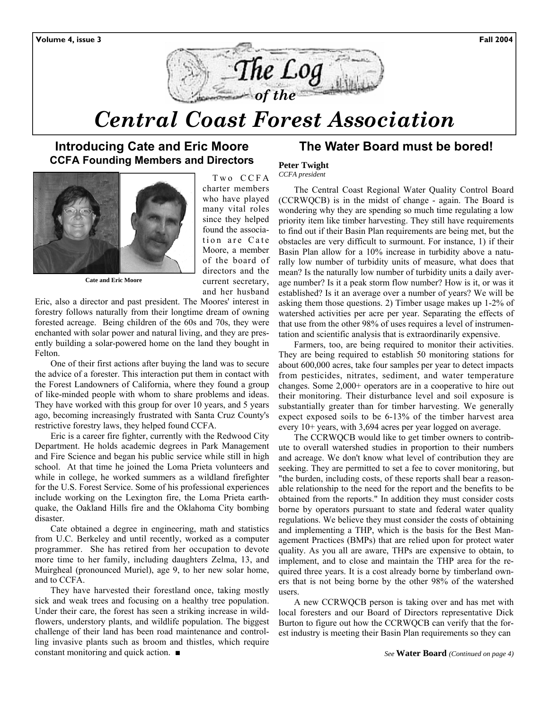

# *Central Coast Forest Association*

# **Introducing Cate and Eric Moore CCFA Founding Members and Directors**



**Cate and Eric Moore** 

 Two C C F A charter members who have played many vital roles since they helped found the association are Cate Moore, a member of the board of directors and the current secretary, and her husband

Eric, also a director and past president. The Moores' interest in forestry follows naturally from their longtime dream of owning forested acreage. Being children of the 60s and 70s, they were enchanted with solar power and natural living, and they are presently building a solar-powered home on the land they bought in Felton.

One of their first actions after buying the land was to secure the advice of a forester. This interaction put them in contact with the Forest Landowners of California, where they found a group of like-minded people with whom to share problems and ideas. They have worked with this group for over 10 years, and 5 years ago, becoming increasingly frustrated with Santa Cruz County's restrictive forestry laws, they helped found CCFA.

Eric is a career fire fighter, currently with the Redwood City Department. He holds academic degrees in Park Management and Fire Science and began his public service while still in high school. At that time he joined the Loma Prieta volunteers and while in college, he worked summers as a wildland firefighter for the U.S. Forest Service. Some of his professional experiences include working on the Lexington fire, the Loma Prieta earthquake, the Oakland Hills fire and the Oklahoma City bombing disaster.

Cate obtained a degree in engineering, math and statistics from U.C. Berkeley and until recently, worked as a computer programmer. She has retired from her occupation to devote more time to her family, including daughters Zelma, 13, and Muirgheal (pronounced Muriel), age 9, to her new solar home, and to CCFA.

They have harvested their forestland once, taking mostly sick and weak trees and focusing on a healthy tree population. Under their care, the forest has seen a striking increase in wildflowers, understory plants, and wildlife population. The biggest challenge of their land has been road maintenance and controlling invasive plants such as broom and thistles, which require constant monitoring and quick action. ■

# **The Water Board must be bored!**

**Peter Twight**  *CCFA president* 

The Central Coast Regional Water Quality Control Board (CCRWQCB) is in the midst of change - again. The Board is wondering why they are spending so much time regulating a low priority item like timber harvesting. They still have requirements to find out if their Basin Plan requirements are being met, but the obstacles are very difficult to surmount. For instance, 1) if their Basin Plan allow for a 10% increase in turbidity above a naturally low number of turbidity units of measure, what does that mean? Is the naturally low number of turbidity units a daily average number? Is it a peak storm flow number? How is it, or was it established? Is it an average over a number of years? We will be asking them those questions. 2) Timber usage makes up 1-2% of watershed activities per acre per year. Separating the effects of that use from the other 98% of uses requires a level of instrumentation and scientific analysis that is extraordinarily expensive.

 Farmers, too, are being required to monitor their activities. They are being required to establish 50 monitoring stations for about 600,000 acres, take four samples per year to detect impacts from pesticides, nitrates, sediment, and water temperature changes. Some 2,000+ operators are in a cooperative to hire out their monitoring. Their disturbance level and soil exposure is substantially greater than for timber harvesting. We generally expect exposed soils to be 6-13% of the timber harvest area every 10+ years, with 3,694 acres per year logged on average.

 The CCRWQCB would like to get timber owners to contribute to overall watershed studies in proportion to their numbers and acreage. We don't know what level of contribution they are seeking. They are permitted to set a fee to cover monitoring, but "the burden, including costs, of these reports shall bear a reasonable relationship to the need for the report and the benefits to be obtained from the reports." In addition they must consider costs borne by operators pursuant to state and federal water quality regulations. We believe they must consider the costs of obtaining and implementing a THP, which is the basis for the Best Management Practices (BMPs) that are relied upon for protect water quality. As you all are aware, THPs are expensive to obtain, to implement, and to close and maintain the THP area for the required three years. It is a cost already borne by timberland owners that is not being borne by the other 98% of the watershed users.

 A new CCRWQCB person is taking over and has met with local foresters and our Board of Directors representative Dick Burton to figure out how the CCRWQCB can verify that the forest industry is meeting their Basin Plan requirements so they can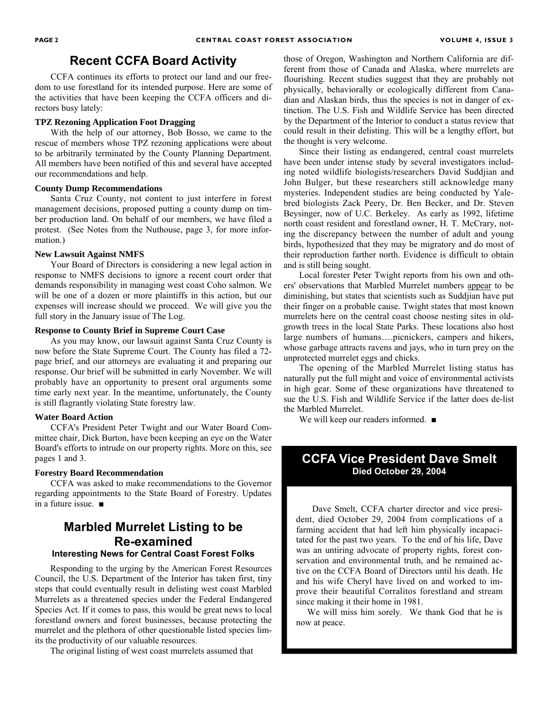### **Recent CCFA Board Activity**

 CCFA continues its efforts to protect our land and our freedom to use forestland for its intended purpose. Here are some of the activities that have been keeping the CCFA officers and directors busy lately:

### **TPZ Rezoning Application Foot Dragging**

 With the help of our attorney, Bob Bosso, we came to the rescue of members whose TPZ rezoning applications were about to be arbitrarily terminated by the County Planning Department. All members have been notified of this and several have accepted our recommendations and help.

#### **County Dump Recommendations**

Santa Cruz County, not content to just interfere in forest management decisions, proposed putting a county dump on timber production land. On behalf of our members, we have filed a protest. (See Notes from the Nuthouse, page 3, for more information.)

#### **New Lawsuit Against NMFS**

 Your Board of Directors is considering a new legal action in response to NMFS decisions to ignore a recent court order that demands responsibility in managing west coast Coho salmon. We will be one of a dozen or more plaintiffs in this action, but our expenses will increase should we proceed. We will give you the full story in the January issue of The Log.

### **Response to County Brief in Supreme Court Case**

 As you may know, our lawsuit against Santa Cruz County is now before the State Supreme Court. The County has filed a 72 page brief, and our attorneys are evaluating it and preparing our response. Our brief will be submitted in early November. We will probably have an opportunity to present oral arguments some time early next year. In the meantime, unfortunately, the County is still flagrantly violating State forestry law.

#### **Water Board Action**

 CCFA's President Peter Twight and our Water Board Committee chair, Dick Burton, have been keeping an eye on the Water Board's efforts to intrude on our property rights. More on this, see pages 1 and 3.

### **Forestry Board Recommendation**

CCFA was asked to make recommendations to the Governor regarding appointments to the State Board of Forestry. Updates in a future issue. ■

# **Marbled Murrelet Listing to be Re-examined Interesting News for Central Coast Forest Folks**

 Responding to the urging by the American Forest Resources Council, the U.S. Department of the Interior has taken first, tiny steps that could eventually result in delisting west coast Marbled Murrelets as a threatened species under the Federal Endangered Species Act. If it comes to pass, this would be great news to local forestland owners and forest businesses, because protecting the murrelet and the plethora of other questionable listed species limits the productivity of our valuable resources.

The original listing of west coast murrelets assumed that

those of Oregon, Washington and Northern California are different from those of Canada and Alaska, where murrelets are flourishing. Recent studies suggest that they are probably not physically, behaviorally or ecologically different from Canadian and Alaskan birds, thus the species is not in danger of extinction. The U.S. Fish and Wildlife Service has been directed by the Department of the Interior to conduct a status review that could result in their delisting. This will be a lengthy effort, but the thought is very welcome.

 Since their listing as endangered, central coast murrelets have been under intense study by several investigators including noted wildlife biologists/researchers David Suddjian and John Bulger, but these researchers still acknowledge many mysteries. Independent studies are being conducted by Yalebred biologists Zack Peery, Dr. Ben Becker, and Dr. Steven Beysinger, now of U.C. Berkeley. As early as 1992, lifetime north coast resident and forestland owner, H. T. McCrary, noting the discrepancy between the number of adult and young birds, hypothesized that they may be migratory and do most of their reproduction farther north. Evidence is difficult to obtain and is still being sought.

 Local forester Peter Twight reports from his own and others' observations that Marbled Murrelet numbers appear to be diminishing, but states that scientists such as Suddjian have put their finger on a probable cause. Twight states that most known murrelets here on the central coast choose nesting sites in oldgrowth trees in the local State Parks. These locations also host large numbers of humans….picnickers, campers and hikers, whose garbage attracts ravens and jays, who in turn prey on the unprotected murrelet eggs and chicks.

 The opening of the Marbled Murrelet listing status has naturally put the full might and voice of environmental activists in high gear. Some of these organizations have threatened to sue the U.S. Fish and Wildlife Service if the latter does de-list the Marbled Murrelet.

We will keep our readers informed. ■

# **CCFA Vice President Dave Smelt Died October 29, 2004**

Dave Smelt, CCFA charter director and vice president, died October 29, 2004 from complications of a farming accident that had left him physically incapacitated for the past two years. To the end of his life, Dave was an untiring advocate of property rights, forest conservation and environmental truth, and he remained active on the CCFA Board of Directors until his death. He and his wife Cheryl have lived on and worked to improve their beautiful Corralitos forestland and stream since making it their home in 1981.

 We will miss him sorely. We thank God that he is now at peace.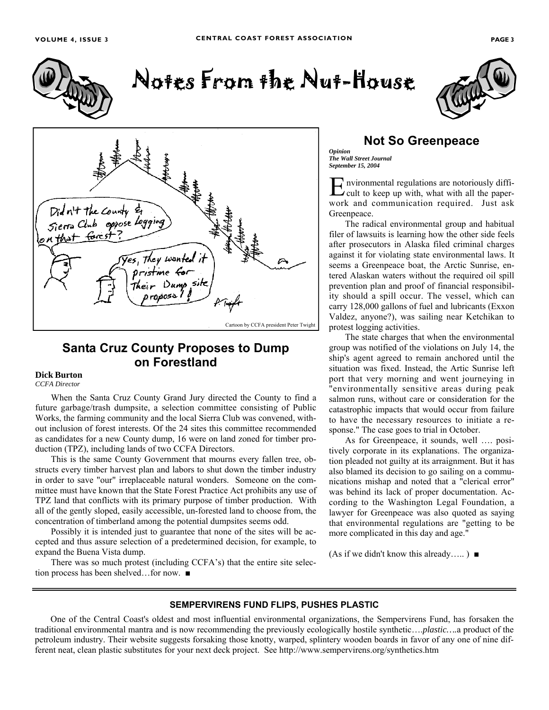Notes From the Nut-House



# **Santa Cruz County Proposes to Dump on Forestland**

### **Dick Burton**

*CCFA Director* 

When the Santa Cruz County Grand Jury directed the County to find a future garbage/trash dumpsite, a selection committee consisting of Public Works, the farming community and the local Sierra Club was convened, without inclusion of forest interests. Of the 24 sites this committee recommended as candidates for a new County dump, 16 were on land zoned for timber production (TPZ), including lands of two CCFA Directors.

This is the same County Government that mourns every fallen tree, obstructs every timber harvest plan and labors to shut down the timber industry in order to save "our" irreplaceable natural wonders. Someone on the committee must have known that the State Forest Practice Act prohibits any use of TPZ land that conflicts with its primary purpose of timber production. With all of the gently sloped, easily accessible, un-forested land to choose from, the concentration of timberland among the potential dumpsites seems odd.

Possibly it is intended just to guarantee that none of the sites will be accepted and thus assure selection of a predetermined decision, for example, to expand the Buena Vista dump.

There was so much protest (including CCFA's) that the entire site selection process has been shelved…for now. ■



# **Not So Greenpeace**

*Opinion The Wall Street Journal September 15, 2004* 

E nvironmental regulations are notoriously diffi-cult to keep up with, what with all the paperwork and communication required. Just ask Greenpeace.

 The radical environmental group and habitual filer of lawsuits is learning how the other side feels after prosecutors in Alaska filed criminal charges against it for violating state environmental laws. It seems a Greenpeace boat, the Arctic Sunrise, entered Alaskan waters without the required oil spill prevention plan and proof of financial responsibility should a spill occur. The vessel, which can carry 128,000 gallons of fuel and lubricants (Exxon Valdez, anyone?), was sailing near Ketchikan to protest logging activities.

 The state charges that when the environmental group was notified of the violations on July 14, the ship's agent agreed to remain anchored until the situation was fixed. Instead, the Artic Sunrise left port that very morning and went journeying in "environmentally sensitive areas during peak salmon runs, without care or consideration for the catastrophic impacts that would occur from failure to have the necessary resources to initiate a response." The case goes to trial in October.

 As for Greenpeace, it sounds, well …. positively corporate in its explanations. The organization pleaded not guilty at its arraignment. But it has also blamed its decision to go sailing on a communications mishap and noted that a "clerical error" was behind its lack of proper documentation. According to the Washington Legal Foundation, a lawyer for Greenpeace was also quoted as saying that environmental regulations are "getting to be more complicated in this day and age."

 $(As if we didn't know this already....)$ 

### **SEMPERVIRENS FUND FLIPS, PUSHES PLASTIC**

One of the Central Coast's oldest and most influential environmental organizations, the Sempervirens Fund, has forsaken the traditional environmental mantra and is now recommending the previously ecologically hostile synthetic….*plastic….*a product of the petroleum industry. Their website suggests forsaking those knotty, warped, splintery wooden boards in favor of any one of nine different neat, clean plastic substitutes for your next deck project. See http://www.sempervirens.org/synthetics.htm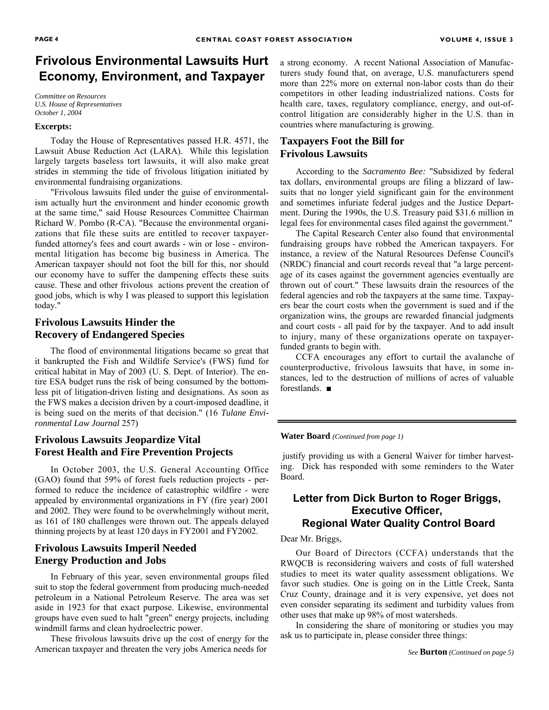# **Frivolous Environmental Lawsuits Hurt Economy, Environment, and Taxpayer**

*Committee on Resources U.S. House of Representatives October 1, 2004*

#### **Excerpts:**

Today the House of Representatives passed H.R. 4571, the Lawsuit Abuse Reduction Act (LARA). While this legislation largely targets baseless tort lawsuits, it will also make great strides in stemming the tide of frivolous litigation initiated by environmental fundraising organizations.

"Frivolous lawsuits filed under the guise of environmentalism actually hurt the environment and hinder economic growth at the same time," said House Resources Committee Chairman Richard W. Pombo (R-CA). "Because the environmental organizations that file these suits are entitled to recover taxpayerfunded attorney's fees and court awards - win or lose - environmental litigation has become big business in America. The American taxpayer should not foot the bill for this, nor should our economy have to suffer the dampening effects these suits cause. These and other frivolous actions prevent the creation of good jobs, which is why I was pleased to support this legislation today."

### **Frivolous Lawsuits Hinder the Recovery of Endangered Species**

The flood of environmental litigations became so great that it bankrupted the Fish and Wildlife Service's (FWS) fund for critical habitat in May of 2003 (U. S. Dept. of Interior). The entire ESA budget runs the risk of being consumed by the bottomless pit of litigation-driven listing and designations. As soon as the FWS makes a decision driven by a court-imposed deadline, it is being sued on the merits of that decision." (16 *Tulane Environmental Law Journal* 257)

### **Frivolous Lawsuits Jeopardize Vital Forest Health and Fire Prevention Projects**

In October 2003, the U.S. General Accounting Office (GAO) found that 59% of forest fuels reduction projects - performed to reduce the incidence of catastrophic wildfire - were appealed by environmental organizations in FY (fire year) 2001 and 2002. They were found to be overwhelmingly without merit, as 161 of 180 challenges were thrown out. The appeals delayed thinning projects by at least 120 days in FY2001 and FY2002.

# **Frivolous Lawsuits Imperil Needed Energy Production and Jobs**

In February of this year, seven environmental groups filed suit to stop the federal government from producing much-needed petroleum in a National Petroleum Reserve. The area was set aside in 1923 for that exact purpose. Likewise, environmental groups have even sued to halt "green" energy projects, including windmill farms and clean hydroelectric power.

These frivolous lawsuits drive up the cost of energy for the American taxpayer and threaten the very jobs America needs for

a strong economy. A recent National Association of Manufacturers study found that, on average, U.S. manufacturers spend more than 22% more on external non-labor costs than do their competitors in other leading industrialized nations. Costs for health care, taxes, regulatory compliance, energy, and out-ofcontrol litigation are considerably higher in the U.S. than in countries where manufacturing is growing.

### **Taxpayers Foot the Bill for Frivolous Lawsuits**

According to the *Sacramento Bee:* "Subsidized by federal tax dollars, environmental groups are filing a blizzard of lawsuits that no longer yield significant gain for the environment and sometimes infuriate federal judges and the Justice Department. During the 1990s, the U.S. Treasury paid \$31.6 million in legal fees for environmental cases filed against the government."

The Capital Research Center also found that environmental fundraising groups have robbed the American taxpayers. For instance, a review of the Natural Resources Defense Council's (NRDC) financial and court records reveal that "a large percentage of its cases against the government agencies eventually are thrown out of court." These lawsuits drain the resources of the federal agencies and rob the taxpayers at the same time. Taxpayers bear the court costs when the government is sued and if the organization wins, the groups are rewarded financial judgments and court costs - all paid for by the taxpayer. And to add insult to injury, many of these organizations operate on taxpayerfunded grants to begin with.

CCFA encourages any effort to curtail the avalanche of counterproductive, frivolous lawsuits that have, in some instances, led to the destruction of millions of acres of valuable forestlands. ■

#### **Water Board** *(Continued from page 1)*

 justify providing us with a General Waiver for timber harvesting. Dick has responded with some reminders to the Water Board.

### **Letter from Dick Burton to Roger Briggs, Executive Officer, Regional Water Quality Control Board**

Dear Mr. Briggs,

 Our Board of Directors (CCFA) understands that the RWQCB is reconsidering waivers and costs of full watershed studies to meet its water quality assessment obligations. We favor such studies. One is going on in the Little Creek, Santa Cruz County, drainage and it is very expensive, yet does not even consider separating its sediment and turbidity values from other uses that make up 98% of most watersheds.

 In considering the share of monitoring or studies you may ask us to participate in, please consider three things: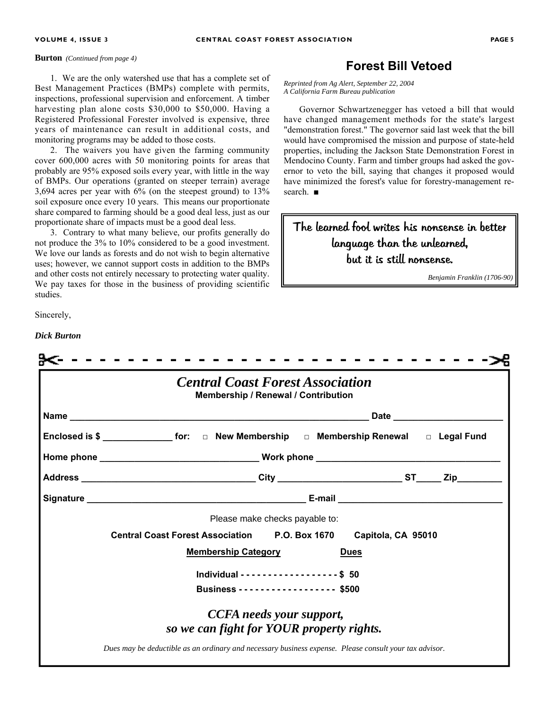1. We are the only watershed use that has a complete set of Best Management Practices (BMPs) complete with permits, inspections, professional supervision and enforcement. A timber harvesting plan alone costs \$30,000 to \$50,000. Having a Registered Professional Forester involved is expensive, three years of maintenance can result in additional costs, and monitoring programs may be added to those costs.

 2. The waivers you have given the farming community cover 600,000 acres with 50 monitoring points for areas that probably are 95% exposed soils every year, with little in the way of BMPs. Our operations (granted on steeper terrain) average 3,694 acres per year with 6% (on the steepest ground) to 13% soil exposure once every 10 years. This means our proportionate share compared to farming should be a good deal less, just as our proportionate share of impacts must be a good deal less.

 3. Contrary to what many believe, our profits generally do not produce the 3% to 10% considered to be a good investment. We love our lands as forests and do not wish to begin alternative uses; however, we cannot support costs in addition to the BMPs and other costs not entirely necessary to protecting water quality. We pay taxes for those in the business of providing scientific studies.

Sincerely,

### *Dick Burton*

# **Forest Bill Vetoed**

*Reprinted from Ag Alert, September 22, 2004 A California Farm Bureau publication* 

Governor Schwartzenegger has vetoed a bill that would have changed management methods for the state's largest "demonstration forest." The governor said last week that the bill would have compromised the mission and purpose of state-held properties, including the Jackson State Demonstration Forest in Mendocino County. Farm and timber groups had asked the governor to veto the bill, saying that changes it proposed would have minimized the forest's value for forestry-management research. ■

# The learned fool writes his nonsense in better language than the unlearned, but it is still nonsense.

*Benjamin Franklin (1706-90)* 

o

| <b>Central Coast Forest Association</b><br>Membership / Renewal / Contribution                         |  |
|--------------------------------------------------------------------------------------------------------|--|
|                                                                                                        |  |
| Enclosed is \$ _______________________ for: □ New Membership □ Membership Renewal □ Legal Fund         |  |
|                                                                                                        |  |
|                                                                                                        |  |
|                                                                                                        |  |
| Please make checks payable to:                                                                         |  |
| Central Coast Forest Association P.O. Box 1670 Capitola, CA 95010                                      |  |
| <b>Membership Category</b><br><u>Dues</u>                                                              |  |
| Individual - - - - - - - - - - - - - - - - - \$ 50                                                     |  |
| Business - - - - - - - - - - - - - - - - - \$500                                                       |  |
| CCFA needs your support,                                                                               |  |
| so we can fight for YOUR property rights.                                                              |  |
| Dues may be deductible as an ordinary and necessary business expense. Please consult your tax advisor. |  |